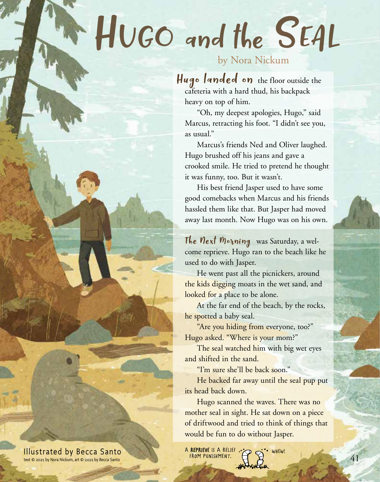## Hugo and the Seal

## by Nora Nickum

Hugo landed on the floor outside the cafeteria with a hard thud, his backpack heavy on top of him.

"Oh, my deepest apologies, Hugo," said Marcus, retracting his foot. "I didn't see you, as usual."

Marcus's friends Ned and Oliver laughed. Hugo brushed off his jeans and gave a crooked smile. He tried to pretend he thought it was funny, too. But it wasn't.

His best friend Jasper used to have some good comebacks when Marcus and his friends hassled them like that. But Jasper had moved away last month. Now Hugo was on his own.

The  $Next$  Morning was Saturday, a welcome reprieve. Hugo ran to the beach like he used to do with Jasper.

He went past all the picnickers, around the kids digging moats in the wet sand, and looked for a place to be alone.

At the far end of the beach, by the rocks, he spotted a baby seal.

"Are you hiding from everyone, too?" Hugo asked. "Where is your mom?"

The seal watched him with big wet eyes and shifted in the sand.

"I'm sure she'll be back soon."

He backed far away until the seal pup put its head back down.

Hugo scanned the waves. There was no mother seal in sight. He sat down on a piece of driftwood and tried to think of things that would be fun to do without Jasper.

A REPRIEVE IS A RELIEF ... D ( wHEW! ROM PUNISHMENT. **41** 

Illustrated by Becca Santo text © 2021 by Nora Nickum, art © 2021 by Becca Santo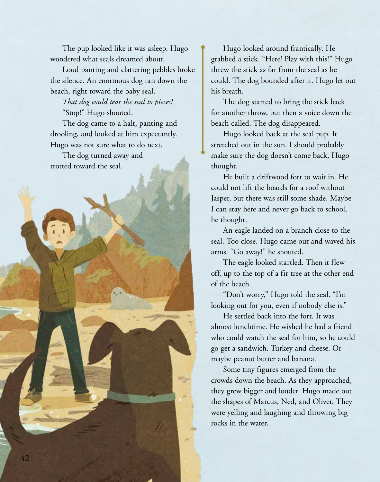The pup looked like it was asleep. Hugo wondered what seals dreamed about.

Loud panting and clattering pebbles broke the silence. An enormous dog ran down the beach, right toward the baby seal.

*That dog could tear the seal to pieces!* "Stop!" Hugo shouted.

The dog came to a halt, panting and drooling, and looked at him expectantly. Hugo was not sure what to do next.

The dog turned away and trotted toward the seal.

Hugo looked around frantically. He grabbed a stick. "Here! Play with this!" Hugo threw the stick as far from the seal as he could. The dog bounded after it. Hugo let out his breath.

The dog started to bring the stick back for another throw, but then a voice down the beach called. The dog disappeared.

Hugo looked back at the seal pup. It stretched out in the sun. I should probably make sure the dog doesn't come back, Hugo thought.

He built a driftwood fort to wait in. He could not lift the boards for a roof without Jasper, but there was still some shade. Maybe I can stay here and never go back to school, he thought.

An eagle landed on a branch close to the seal. Too close. Hugo came out and waved his arms. "Go away!" he shouted.

The eagle looked startled. Then it flew off, up to the top of a fir tree at the other end of the beach.

"Don't worry," Hugo told the seal. "I'm looking out for you, even if nobody else is."

He settled back into the fort. It was almost lunchtime. He wished he had a friend who could watch the seal for him, so he could go get a sandwich. Turkey and cheese. Or maybe peanut butter and banana.

Some tiny figures emerged from the crowds down the beach. As they approached, they grew bigger and louder. Hugo made out the shapes of Marcus, Ned, and Oliver. They were yelling and laughing and throwing big rocks in the water.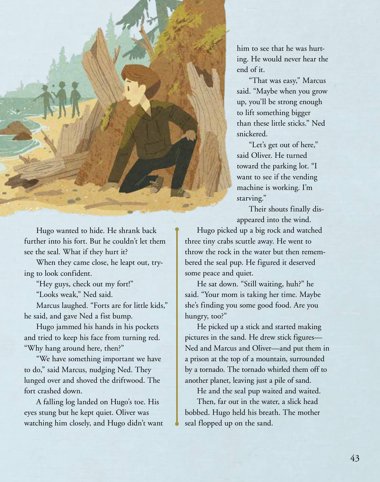

Hugo wanted to hide. He shrank back further into his fort. But he couldn't let them see the seal. What if they hurt it?

When they came close, he leapt out, trying to look confident.

"Hey guys, check out my fort!"

"Looks weak," Ned said.

Marcus laughed. "Forts are for little kids," he said, and gave Ned a fist bump.

Hugo jammed his hands in his pockets and tried to keep his face from turning red. "Why hang around here, then?"

"We have something important we have to do," said Marcus, nudging Ned. They lunged over and shoved the driftwood. The fort crashed down.

A falling log landed on Hugo's toe. His eyes stung but he kept quiet. Oliver was watching him closely, and Hugo didn't want him to see that he was hurting. He would never hear the end of it.

"That was easy," Marcus said. "Maybe when you grow up, you'll be strong enough to lift something bigger than these little sticks." Ned snickered.

"Let's get out of here," said Oliver. He turned toward the parking lot. "I want to see if the vending machine is working. I'm starving."

Their shouts finally disappeared into the wind.

Hugo picked up a big rock and watched three tiny crabs scuttle away. He went to throw the rock in the water but then remembered the seal pup. He figured it deserved some peace and quiet.

He sat down. "Still waiting, huh?" he said. "Your mom is taking her time. Maybe she's finding you some good food. Are you hungry, too?"

He picked up a stick and started making pictures in the sand. He drew stick figures— Ned and Marcus and Oliver—and put them in a prison at the top of a mountain, surrounded by a tornado. The tornado whirled them off to another planet, leaving just a pile of sand.

He and the seal pup waited and waited.

Then, far out in the water, a slick head bobbed. Hugo held his breath. The mother seal flopped up on the sand.